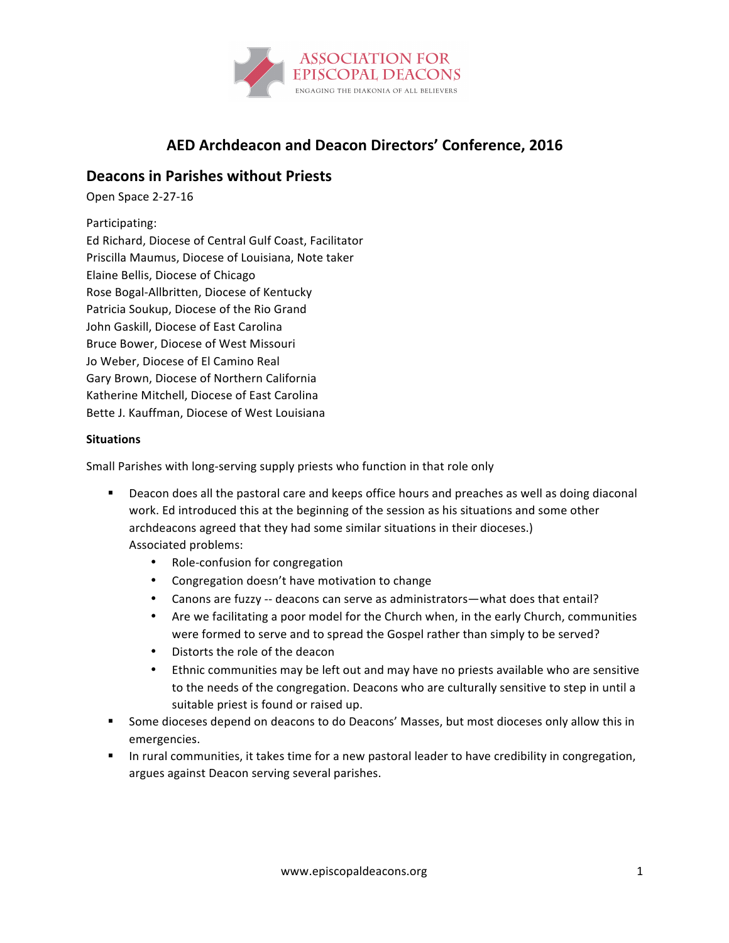

# **AED Archdeacon and Deacon Directors' Conference, 2016**

# **Deacons in Parishes without Priests**

Open Space 2-27-16

## Participating:

Ed Richard, Diocese of Central Gulf Coast, Facilitator Priscilla Maumus, Diocese of Louisiana, Note taker Elaine Bellis, Diocese of Chicago Rose Bogal-Allbritten, Diocese of Kentucky Patricia Soukup, Diocese of the Rio Grand John Gaskill, Diocese of East Carolina Bruce Bower, Diocese of West Missouri Jo Weber, Diocese of El Camino Real Gary Brown, Diocese of Northern California Katherine Mitchell, Diocese of East Carolina Bette J. Kauffman, Diocese of West Louisiana

### **Situations**

Small Parishes with long-serving supply priests who function in that role only

- Deacon does all the pastoral care and keeps office hours and preaches as well as doing diaconal work. Ed introduced this at the beginning of the session as his situations and some other archdeacons agreed that they had some similar situations in their dioceses.) Associated problems:
	- Role-confusion for congregation
	- Congregation doesn't have motivation to change
	- Canons are fuzzy -- deacons can serve as administrators—what does that entail?
	- Are we facilitating a poor model for the Church when, in the early Church, communities were formed to serve and to spread the Gospel rather than simply to be served?
	- Distorts the role of the deacon
	- Ethnic communities may be left out and may have no priests available who are sensitive to the needs of the congregation. Deacons who are culturally sensitive to step in until a suitable priest is found or raised up.
- Some dioceses depend on deacons to do Deacons' Masses, but most dioceses only allow this in emergencies.
- In rural communities, it takes time for a new pastoral leader to have credibility in congregation, argues against Deacon serving several parishes.